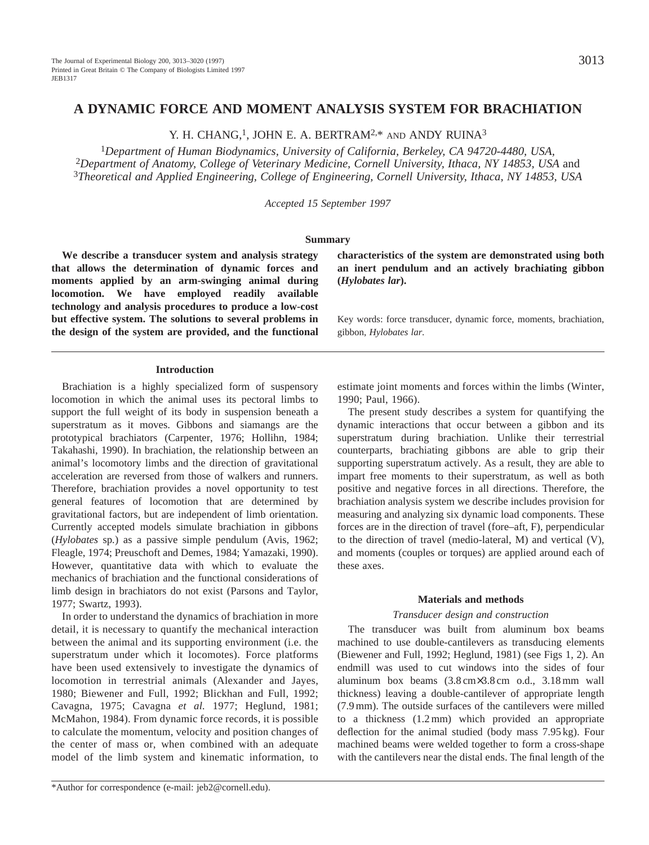# **A DYNAMIC FORCE AND MOMENT ANALYSIS SYSTEM FOR BRACHIATION**

Y. H. CHANG,<sup>1</sup>, JOHN E. A. BERTRAM<sup>2,\*</sup> AND ANDY RUINA<sup>3</sup>

<sup>1</sup>*Department of Human Biodynamics, University of California, Berkeley, CA 94720-4480, USA,*  <sup>2</sup>Department of Anatomy, College of Veterinary Medicine, Cornell University, Ithaca, NY 14853, USA and <sup>3</sup>*Theoretical and Applied Engineering, College of Engineering, Cornell University, Ithaca, NY 14853, USA*

*Accepted 15 September 1997*

#### **Summary**

**We describe a transducer system and analysis strategy that allows the determination of dynamic forces and moments applied by an arm-swinging animal during locomotion. We have employed readily available technology and analysis procedures to produce a low-cost but effective system. The solutions to several problems in the design of the system are provided, and the functional**

# **Introduction**

Brachiation is a highly specialized form of suspensory locomotion in which the animal uses its pectoral limbs to support the full weight of its body in suspension beneath a superstratum as it moves. Gibbons and siamangs are the prototypical brachiators (Carpenter, 1976; Hollihn, 1984; Takahashi, 1990). In brachiation, the relationship between an animal's locomotory limbs and the direction of gravitational acceleration are reversed from those of walkers and runners. Therefore, brachiation provides a novel opportunity to test general features of locomotion that are determined by gravitational factors, but are independent of limb orientation. Currently accepted models simulate brachiation in gibbons (*Hylobates* sp*.*) as a passive simple pendulum (Avis, 1962; Fleagle, 1974; Preuschoft and Demes, 1984; Yamazaki, 1990). However, quantitative data with which to evaluate the mechanics of brachiation and the functional considerations of limb design in brachiators do not exist (Parsons and Taylor, 1977; Swartz, 1993).

In order to understand the dynamics of brachiation in more detail, it is necessary to quantify the mechanical interaction between the animal and its supporting environment (i.e. the superstratum under which it locomotes). Force platforms have been used extensively to investigate the dynamics of locomotion in terrestrial animals (Alexander and Jayes, 1980; Biewener and Full, 1992; Blickhan and Full, 1992; Cavagna, 1975; Cavagna *et al.* 1977; Heglund, 1981; McMahon, 1984). From dynamic force records, it is possible to calculate the momentum, velocity and position changes of the center of mass or, when combined with an adequate model of the limb system and kinematic information, to

**characteristics of the system are demonstrated using both an inert pendulum and an actively brachiating gibbon (***Hylobates lar***).**

Key words: force transducer, dynamic force, moments, brachiation, gibbon, *Hylobates lar.*

estimate joint moments and forces within the limbs (Winter, 1990; Paul, 1966).

The present study describes a system for quantifying the dynamic interactions that occur between a gibbon and its superstratum during brachiation. Unlike their terrestrial counterparts, brachiating gibbons are able to grip their supporting superstratum actively. As a result, they are able to impart free moments to their superstratum, as well as both positive and negative forces in all directions. Therefore, the brachiation analysis system we describe includes provision for measuring and analyzing six dynamic load components. These forces are in the direction of travel (fore–aft, F), perpendicular to the direction of travel (medio-lateral, M) and vertical (V), and moments (couples or torques) are applied around each of these axes.

### **Materials and methods**

## *Transducer design and construction*

The transducer was built from aluminum box beams machined to use double-cantilevers as transducing elements (Biewener and Full, 1992; Heglund, 1981) (see Figs 1, 2). An endmill was used to cut windows into the sides of four aluminum box beams (3.8 cm×3.8 cm o.d., 3.18 mm wall thickness) leaving a double-cantilever of appropriate length (7.9 mm). The outside surfaces of the cantilevers were milled to a thickness (1.2 mm) which provided an appropriate deflection for the animal studied (body mass 7.95 kg). Four machined beams were welded together to form a cross-shape with the cantilevers near the distal ends. The final length of the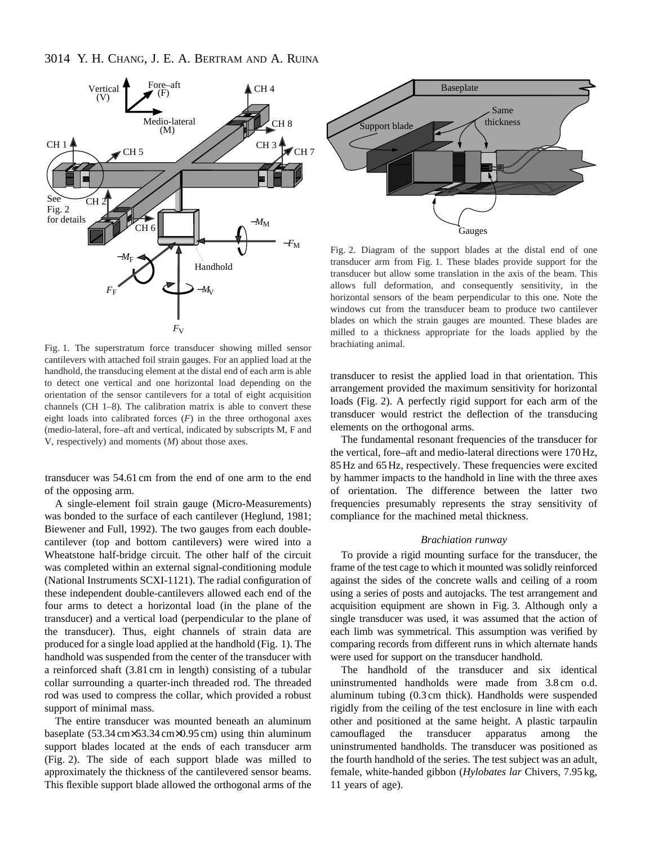

Fig. 1. The superstratum force transducer showing milled sensor cantilevers with attached foil strain gauges. For an applied load at the handhold, the transducing element at the distal end of each arm is able to detect one vertical and one horizontal load depending on the orientation of the sensor cantilevers for a total of eight acquisition channels (CH 1–8). The calibration matrix is able to convert these eight loads into calibrated forces  $(F)$  in the three orthogonal axes (medio-lateral, fore–aft and vertical, indicated by subscripts M, F and V, respectively) and moments (*M*) about those axes.

transducer was 54.61 cm from the end of one arm to the end of the opposing arm.

A single-element foil strain gauge (Micro-Measurements) was bonded to the surface of each cantilever (Heglund, 1981; Biewener and Full, 1992). The two gauges from each doublecantilever (top and bottom cantilevers) were wired into a Wheatstone half-bridge circuit. The other half of the circuit was completed within an external signal-conditioning module (National Instruments SCXI-1121). The radial configuration of these independent double-cantilevers allowed each end of the four arms to detect a horizontal load (in the plane of the transducer) and a vertical load (perpendicular to the plane of the transducer). Thus, eight channels of strain data are produced for a single load applied at the handhold (Fig. 1). The handhold was suspended from the center of the transducer with a reinforced shaft (3.81 cm in length) consisting of a tubular collar surrounding a quarter-inch threaded rod. The threaded rod was used to compress the collar, which provided a robust support of minimal mass.

The entire transducer was mounted beneath an aluminum baseplate (53.34 cm×53.34 cm×0.95 cm) using thin aluminum support blades located at the ends of each transducer arm (Fig. 2). The side of each support blade was milled to approximately the thickness of the cantilevered sensor beams. This flexible support blade allowed the orthogonal arms of the



Fig. 2. Diagram of the support blades at the distal end of one transducer arm from Fig. 1. These blades provide support for the transducer but allow some translation in the axis of the beam. This allows full deformation, and consequently sensitivity, in the horizontal sensors of the beam perpendicular to this one. Note the windows cut from the transducer beam to produce two cantilever blades on which the strain gauges are mounted. These blades are milled to a thickness appropriate for the loads applied by the brachiating animal.

transducer to resist the applied load in that orientation. This arrangement provided the maximum sensitivity for horizontal loads (Fig. 2). A perfectly rigid support for each arm of the transducer would restrict the deflection of the transducing elements on the orthogonal arms.

The fundamental resonant frequencies of the transducer for the vertical, fore–aft and medio-lateral directions were 170 Hz, 85 Hz and 65 Hz, respectively. These frequencies were excited by hammer impacts to the handhold in line with the three axes of orientation. The difference between the latter two frequencies presumably represents the stray sensitivity of compliance for the machined metal thickness.

## *Brachiation runway*

To provide a rigid mounting surface for the transducer, the frame of the test cage to which it mounted was solidly reinforced against the sides of the concrete walls and ceiling of a room using a series of posts and autojacks. The test arrangement and acquisition equipment are shown in Fig. 3. Although only a single transducer was used, it was assumed that the action of each limb was symmetrical. This assumption was verified by comparing records from different runs in which alternate hands were used for support on the transducer handhold.

The handhold of the transducer and six identical uninstrumented handholds were made from 3.8 cm o.d. aluminum tubing (0.3 cm thick). Handholds were suspended rigidly from the ceiling of the test enclosure in line with each other and positioned at the same height. A plastic tarpaulin camouflaged the transducer apparatus among the uninstrumented handholds. The transducer was positioned as the fourth handhold of the series. The test subject was an adult, female, white-handed gibbon (*Hylobates lar* Chivers, 7.95 kg, 11 years of age).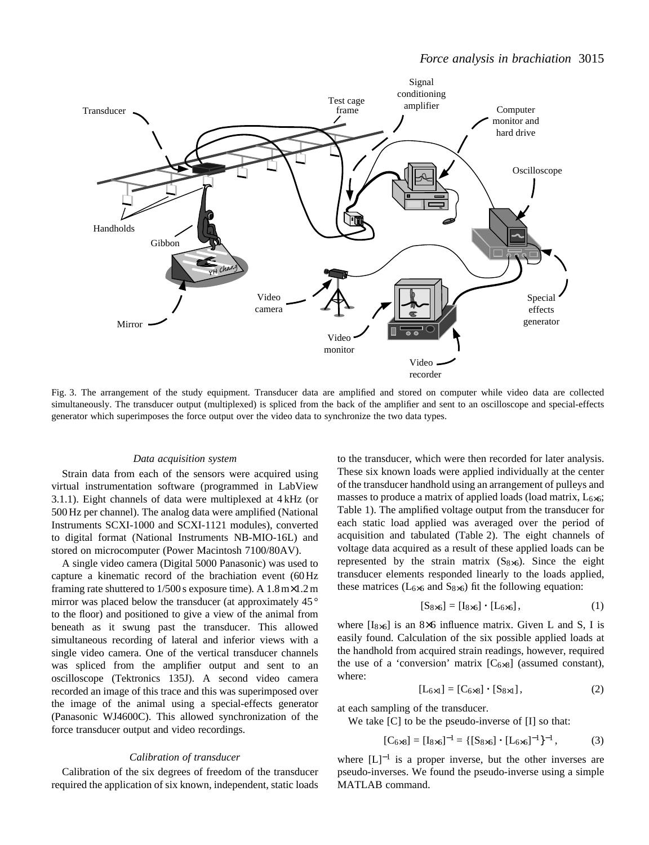

Fig. 3. The arrangement of the study equipment. Transducer data are amplified and stored on computer while video data are collected simultaneously. The transducer output (multiplexed) is spliced from the back of the amplifier and sent to an oscilloscope and special-effects generator which superimposes the force output over the video data to synchronize the two data types.

# *Data acquisition system*

Strain data from each of the sensors were acquired using virtual instrumentation software (programmed in LabView 3.1.1). Eight channels of data were multiplexed at 4 kHz (or 500 Hz per channel). The analog data were amplified (National Instruments SCXI-1000 and SCXI-1121 modules), converted to digital format (National Instruments NB-MIO-16L) and stored on microcomputer (Power Macintosh 7100/80AV).

A single video camera (Digital 5000 Panasonic) was used to capture a kinematic record of the brachiation event (60 Hz framing rate shuttered to 1/500 s exposure time). A 1.8 m×1.2 m mirror was placed below the transducer (at approximately 45<sup>o</sup> to the floor) and positioned to give a view of the animal from beneath as it swung past the transducer. This allowed simultaneous recording of lateral and inferior views with a single video camera. One of the vertical transducer channels was spliced from the amplifier output and sent to an oscilloscope (Tektronics 135J). A second video camera recorded an image of this trace and this was superimposed over the image of the animal using a special-effects generator (Panasonic WJ4600C). This allowed synchronization of the force transducer output and video recordings.

#### *Calibration of transducer*

Calibration of the six degrees of freedom of the transducer required the application of six known, independent, static loads

to the transducer, which were then recorded for later analysis. These six known loads were applied individually at the center of the transducer handhold using an arrangement of pulleys and masses to produce a matrix of applied loads (load matrix,  $L_{6\times 6}$ ; Table 1). The amplified voltage output from the transducer for each static load applied was averaged over the period of acquisition and tabulated (Table 2). The eight channels of voltage data acquired as a result of these applied loads can be represented by the strain matrix  $(S_{8\times6})$ . Since the eight transducer elements responded linearly to the loads applied, these matrices ( $L_{6\times6}$  and  $S_{8\times6}$ ) fit the following equation:

$$
[S_{8\times6}] = [I_{8\times6}] \cdot [L_{6\times6}], \qquad (1)
$$

where  $[I_{8\times6}]$  is an 8×6 influence matrix. Given L and S, I is easily found. Calculation of the six possible applied loads at the handhold from acquired strain readings, however, required the use of a 'conversion' matrix  $[C<sub>6×8</sub>]$  (assumed constant), where:

$$
[L_{6\times 1}] = [C_{6\times 8}] \cdot [S_{8\times 1}], \tag{2}
$$

at each sampling of the transducer.

We take  $[C]$  to be the pseudo-inverse of  $[I]$  so that:

$$
[C_{6\times 8}] = [I_{8\times 6}]^{-1} = \{ [S_{8\times 6}] \cdot [L_{6\times 6}]^{-1} \}^{-1},
$$
 (3)

where  $[L]^{-1}$  is a proper inverse, but the other inverses are pseudo-inverses. We found the pseudo-inverse using a simple MATLAB command.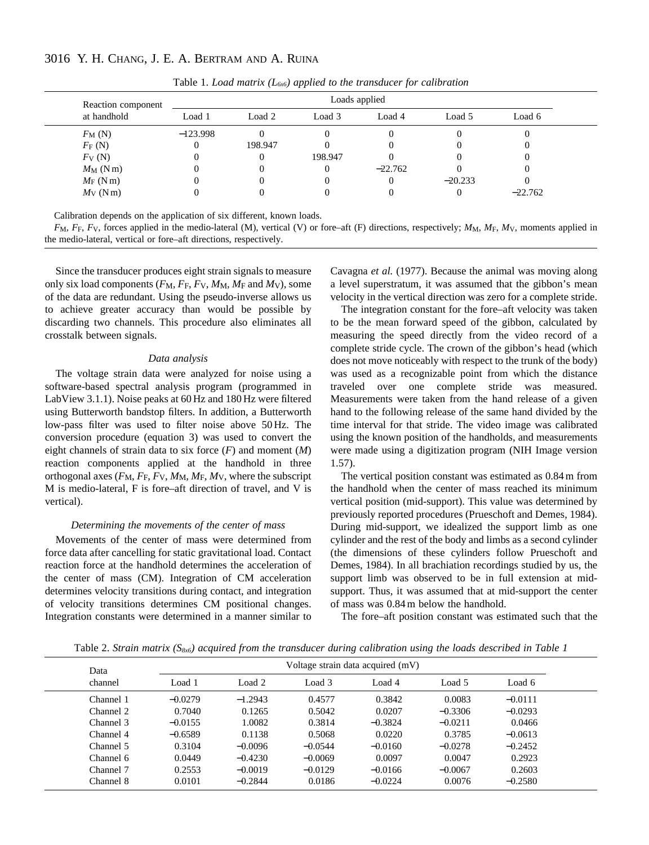# 3016 Y. H. CHANG, J. E. A. BERTRAM AND A. RUINA

| Reaction component<br>at handhold | Loads applied |         |         |           |           |           |  |  |
|-----------------------------------|---------------|---------|---------|-----------|-----------|-----------|--|--|
|                                   | Load 1        | Load 2  | Load 3  | Load 4    | Load 5    | Load 6    |  |  |
| $F_{\rm M}$ (N)                   | $-123.998$    |         |         |           |           | 0         |  |  |
| $F_F(N)$                          | 0             | 198.947 |         |           |           | 0         |  |  |
| $F_{V}$ (N)                       |               |         | 198.947 |           |           | 0         |  |  |
| $M_M$ (Nm)                        |               |         |         | $-22.762$ |           | 0         |  |  |
| $M_F(Nm)$                         |               |         |         |           | $-20.233$ | 0         |  |  |
| $M_V$ (N m)                       |               |         |         |           | O         | $-22.762$ |  |  |

Table 1. *Load matrix*  $(L_{6x6})$  *applied to the transducer for calibration* 

Calibration depends on the application of six different, known loads.

 $F_M$ ,  $F_F$ ,  $F_V$ , forces applied in the medio-lateral (M), vertical (V) or fore–aft (F) directions, respectively;  $M_M$ ,  $M_F$ ,  $M_V$ , moments applied in the medio-lateral, vertical or fore–aft directions, respectively.

Since the transducer produces eight strain signals to measure only six load components  $(F_M, F_F, F_V, M_M, M_F$  and  $M_V$ ), some of the data are redundant. Using the pseudo-inverse allows us to achieve greater accuracy than would be possible by discarding two channels. This procedure also eliminates all crosstalk between signals.

#### *Data analysis*

The voltage strain data were analyzed for noise using a software-based spectral analysis program (programmed in LabView 3.1.1). Noise peaks at 60 Hz and 180 Hz were filtered using Butterworth bandstop filters. In addition, a Butterworth low-pass filter was used to filter noise above 50 Hz. The conversion procedure (equation 3) was used to convert the eight channels of strain data to six force (*F*) and moment (*M*) reaction components applied at the handhold in three orthogonal axes (*F*M, *F*F, *F*V, *M*M, *M*F, *M*V, where the subscript M is medio-lateral, F is fore–aft direction of travel, and V is vertical).

# *Determining the movements of the center of mass*

Movements of the center of mass were determined from force data after cancelling for static gravitational load. Contact reaction force at the handhold determines the acceleration of the center of mass (CM). Integration of CM acceleration determines velocity transitions during contact, and integration of velocity transitions determines CM positional changes. Integration constants were determined in a manner similar to

Cavagna *et al.* (1977). Because the animal was moving along a level superstratum, it was assumed that the gibbon's mean velocity in the vertical direction was zero for a complete stride.

The integration constant for the fore–aft velocity was taken to be the mean forward speed of the gibbon, calculated by measuring the speed directly from the video record of a complete stride cycle. The crown of the gibbon's head (which does not move noticeably with respect to the trunk of the body) was used as a recognizable point from which the distance traveled over one complete stride was measured. Measurements were taken from the hand release of a given hand to the following release of the same hand divided by the time interval for that stride. The video image was calibrated using the known position of the handholds, and measurements were made using a digitization program (NIH Image version 1.57).

The vertical position constant was estimated as 0.84 m from the handhold when the center of mass reached its minimum vertical position (mid-support). This value was determined by previously reported procedures (Prueschoft and Demes, 1984). During mid-support, we idealized the support limb as one cylinder and the rest of the body and limbs as a second cylinder (the dimensions of these cylinders follow Prueschoft and Demes, 1984). In all brachiation recordings studied by us, the support limb was observed to be in full extension at midsupport. Thus, it was assumed that at mid-support the center of mass was 0.84 m below the handhold.

The fore–aft position constant was estimated such that the

Table 2. *Strain matrix (S8x6) acquired from the transducer during calibration using the loads described in Table 1*

| Data<br>channel |           | Voltage strain data acquired (mV) |           |           |           |           |  |  |  |
|-----------------|-----------|-----------------------------------|-----------|-----------|-----------|-----------|--|--|--|
|                 | Load 1    | Load 2                            | Load 3    | Load 4    | Load 5    | Load 6    |  |  |  |
| Channel 1       | $-0.0279$ | $-1.2943$                         | 0.4577    | 0.3842    | 0.0083    | $-0.0111$ |  |  |  |
| Channel 2       | 0.7040    | 0.1265                            | 0.5042    | 0.0207    | $-0.3306$ | $-0.0293$ |  |  |  |
| Channel 3       | $-0.0155$ | 1.0082                            | 0.3814    | $-0.3824$ | $-0.0211$ | 0.0466    |  |  |  |
| Channel 4       | $-0.6589$ | 0.1138                            | 0.5068    | 0.0220    | 0.3785    | $-0.0613$ |  |  |  |
| Channel 5       | 0.3104    | $-0.0096$                         | $-0.0544$ | $-0.0160$ | $-0.0278$ | $-0.2452$ |  |  |  |
| Channel 6       | 0.0449    | $-0.4230$                         | $-0.0069$ | 0.0097    | 0.0047    | 0.2923    |  |  |  |
| Channel 7       | 0.2553    | $-0.0019$                         | $-0.0129$ | $-0.0166$ | $-0.0067$ | 0.2603    |  |  |  |
| Channel 8       | 0.0101    | $-0.2844$                         | 0.0186    | $-0.0224$ | 0.0076    | $-0.2580$ |  |  |  |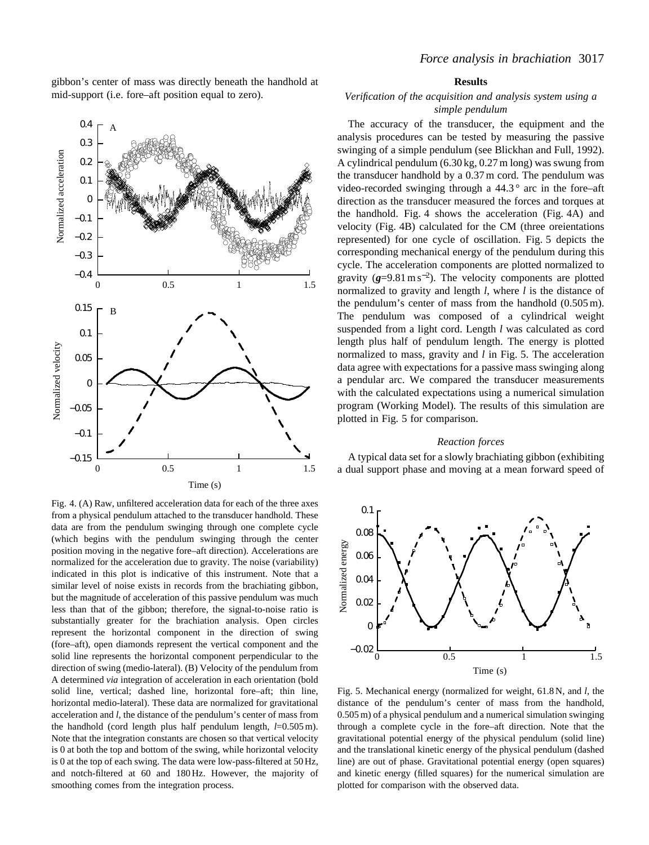gibbon's center of mass was directly beneath the handhold at mid-support (i.e. fore–aft position equal to zero).

> 0.3 0.4

A



Fig. 4. (A) Raw, unfiltered acceleration data for each of the three axes from a physical pendulum attached to the transducer handhold. These data are from the pendulum swinging through one complete cycle (which begins with the pendulum swinging through the center position moving in the negative fore–aft direction). Accelerations are normalized for the acceleration due to gravity. The noise (variability) indicated in this plot is indicative of this instrument. Note that a similar level of noise exists in records from the brachiating gibbon, but the magnitude of acceleration of this passive pendulum was much less than that of the gibbon; therefore, the signal-to-noise ratio is substantially greater for the brachiation analysis. Open circles represent the horizontal component in the direction of swing (fore–aft), open diamonds represent the vertical component and the solid line represents the horizontal component perpendicular to the direction of swing (medio-lateral). (B) Velocity of the pendulum from A determined *via* integration of acceleration in each orientation (bold solid line, vertical; dashed line, horizontal fore–aft; thin line, horizontal medio-lateral). These data are normalized for gravitational acceleration and *l*, the distance of the pendulum's center of mass from the handhold (cord length plus half pendulum length, *l*=0.505 m). Note that the integration constants are chosen so that vertical velocity is 0 at both the top and bottom of the swing, while horizontal velocity is 0 at the top of each swing. The data were low-pass-filtered at 50 Hz, and notch-filtered at 60 and 180 Hz. However, the majority of smoothing comes from the integration process.

Time (s)

# **Results**

# *Verification of the acquisition and analysis system using a simple pendulum*

The accuracy of the transducer, the equipment and the analysis procedures can be tested by measuring the passive swinging of a simple pendulum (see Blickhan and Full, 1992). A cylindrical pendulum (6.30 kg, 0.27 m long) was swung from the transducer handhold by a 0.37 m cord. The pendulum was video-recorded swinging through a  $44.3^\circ$  arc in the fore–aft direction as the transducer measured the forces and torques at the handhold. Fig. 4 shows the acceleration (Fig. 4A) and velocity (Fig. 4B) calculated for the CM (three oreientations represented) for one cycle of oscillation. Fig. 5 depicts the corresponding mechanical energy of the pendulum during this cycle. The acceleration components are plotted normalized to gravity  $(g=9.81 \text{ m s}^{-2})$ . The velocity components are plotted normalized to gravity and length *l*, where *l* is the distance of the pendulum's center of mass from the handhold (0.505 m). The pendulum was composed of a cylindrical weight suspended from a light cord. Length *l* was calculated as cord length plus half of pendulum length. The energy is plotted normalized to mass, gravity and *l* in Fig. 5. The acceleration data agree with expectations for a passive mass swinging along a pendular arc. We compared the transducer measurements with the calculated expectations using a numerical simulation program (Working Model). The results of this simulation are plotted in Fig. 5 for comparison.

#### *Reaction forces*

A typical data set for a slowly brachiating gibbon (exhibiting a dual support phase and moving at a mean forward speed of



Fig. 5. Mechanical energy (normalized for weight, 61.8 N, and *l*, the distance of the pendulum's center of mass from the handhold, 0.505 m) of a physical pendulum and a numerical simulation swinging through a complete cycle in the fore–aft direction. Note that the gravitational potential energy of the physical pendulum (solid line) and the translational kinetic energy of the physical pendulum (dashed line) are out of phase. Gravitational potential energy (open squares) and kinetic energy (filled squares) for the numerical simulation are plotted for comparison with the observed data.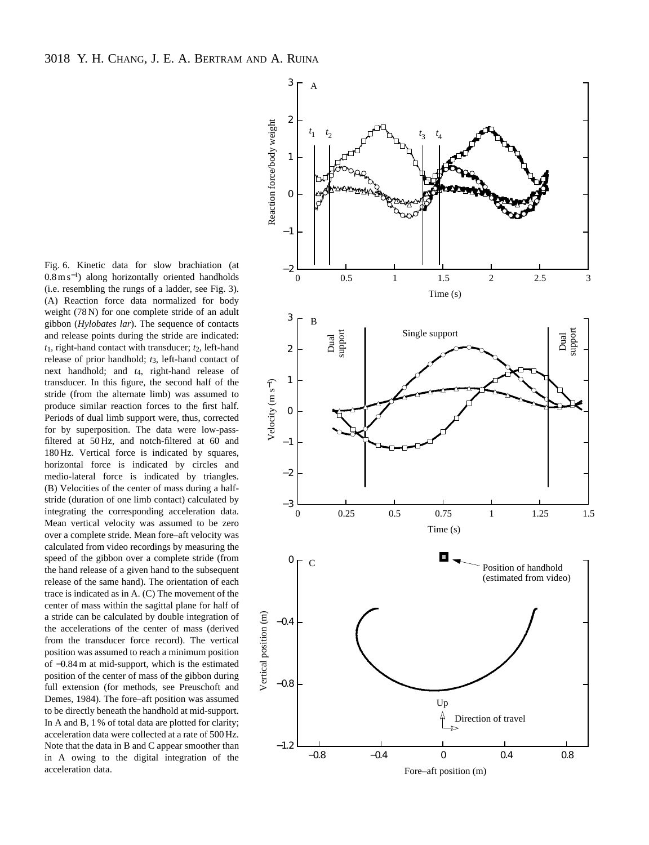Fig. 6. Kinetic data for slow brachiation (at 0.8 m s<sup>−</sup>1) along horizontally oriented handholds (i.e. resembling the rungs of a ladder, see Fig. 3). (A) Reaction force data normalized for body weight (78 N) for one complete stride of an adult gibbon (*Hylobates lar*). The sequence of contacts and release points during the stride are indicated: *t*1, right-hand contact with transducer; *t*2, left-hand release of prior handhold; *t*3, left-hand contact of next handhold; and *t*4, right-hand release of transducer. In this figure, the second half of the stride (from the alternate limb) was assumed to produce similar reaction forces to the first half. Periods of dual limb support were, thus, corrected for by superposition. The data were low-passfiltered at 50 Hz, and notch-filtered at 60 and 180 Hz. Vertical force is indicated by squares, horizontal force is indicated by circles and medio-lateral force is indicated by triangles. (B) Velocities of the center of mass during a halfstride (duration of one limb contact) calculated by integrating the corresponding acceleration data. Mean vertical velocity was assumed to be zero over a complete stride. Mean fore–aft velocity was calculated from video recordings by measuring the speed of the gibbon over a complete stride (from the hand release of a given hand to the subsequent release of the same hand). The orientation of each trace is indicated as in A. (C) The movement of the center of mass within the sagittal plane for half of a stride can be calculated by double integration of the accelerations of the center of mass (derived from the transducer force record). The vertical position was assumed to reach a minimum position of −0.84 m at mid-support, which is the estimated position of the center of mass of the gibbon during full extension (for methods, see Preuschoft and Demes, 1984). The fore–aft position was assumed to be directly beneath the handhold at mid-support. In A and B, 1 % of total data are plotted for clarity; acceleration data were collected at a rate of 500 Hz. Note that the data in B and C appear smoother than in A owing to the digital integration of the acceleration data.

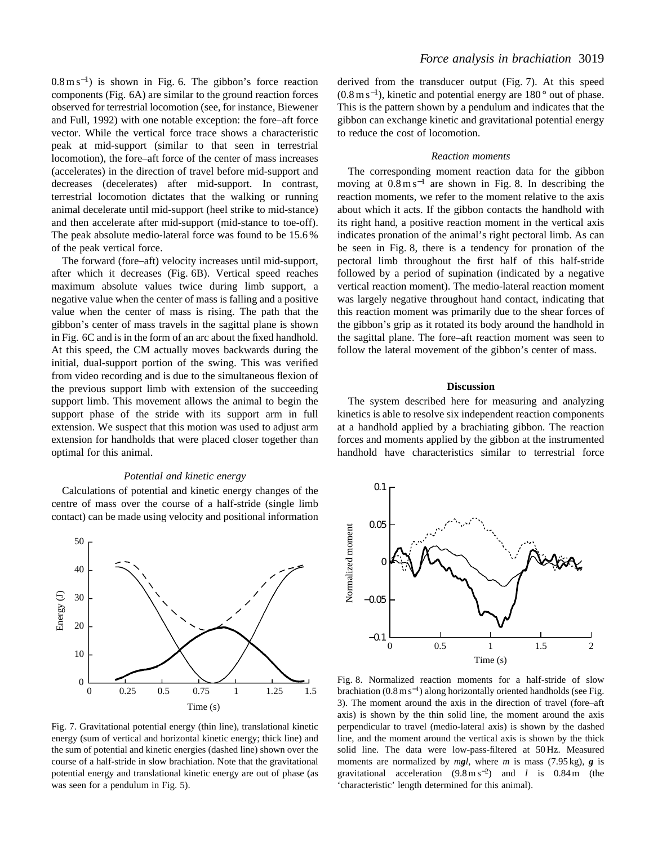0.8 m s<sup>−</sup>1) is shown in Fig. 6. The gibbon's force reaction components (Fig. 6A) are similar to the ground reaction forces observed for terrestrial locomotion (see, for instance, Biewener and Full, 1992) with one notable exception: the fore–aft force vector. While the vertical force trace shows a characteristic peak at mid-support (similar to that seen in terrestrial locomotion), the fore–aft force of the center of mass increases (accelerates) in the direction of travel before mid-support and decreases (decelerates) after mid-support. In contrast, terrestrial locomotion dictates that the walking or running animal decelerate until mid-support (heel strike to mid-stance) and then accelerate after mid-support (mid-stance to toe-off). The peak absolute medio-lateral force was found to be 15.6 % of the peak vertical force.

The forward (fore–aft) velocity increases until mid-support, after which it decreases (Fig. 6B). Vertical speed reaches maximum absolute values twice during limb support, a negative value when the center of mass is falling and a positive value when the center of mass is rising. The path that the gibbon's center of mass travels in the sagittal plane is shown in Fig. 6C and is in the form of an arc about the fixed handhold. At this speed, the CM actually moves backwards during the initial, dual-support portion of the swing. This was verified from video recording and is due to the simultaneous flexion of the previous support limb with extension of the succeeding support limb. This movement allows the animal to begin the support phase of the stride with its support arm in full extension. We suspect that this motion was used to adjust arm extension for handholds that were placed closer together than optimal for this animal.

## *Potential and kinetic energy*

Calculations of potential and kinetic energy changes of the centre of mass over the course of a half-stride (single limb contact) can be made using velocity and positional information



Fig. 7. Gravitational potential energy (thin line), translational kinetic energy (sum of vertical and horizontal kinetic energy; thick line) and the sum of potential and kinetic energies (dashed line) shown over the course of a half-stride in slow brachiation. Note that the gravitational potential energy and translational kinetic energy are out of phase (as was seen for a pendulum in Fig. 5).

derived from the transducer output (Fig. 7). At this speed (0.8 m s<sup>−</sup>1), kinetic and potential energy are 180 ° out of phase. This is the pattern shown by a pendulum and indicates that the gibbon can exchange kinetic and gravitational potential energy to reduce the cost of locomotion.

#### *Reaction moments*

The corresponding moment reaction data for the gibbon moving at  $0.8 \text{ m s}^{-1}$  are shown in Fig. 8. In describing the reaction moments, we refer to the moment relative to the axis about which it acts. If the gibbon contacts the handhold with its right hand, a positive reaction moment in the vertical axis indicates pronation of the animal's right pectoral limb. As can be seen in Fig. 8, there is a tendency for pronation of the pectoral limb throughout the first half of this half-stride followed by a period of supination (indicated by a negative vertical reaction moment). The medio-lateral reaction moment was largely negative throughout hand contact, indicating that this reaction moment was primarily due to the shear forces of the gibbon's grip as it rotated its body around the handhold in the sagittal plane. The fore–aft reaction moment was seen to follow the lateral movement of the gibbon's center of mass.

# **Discussion**

The system described here for measuring and analyzing kinetics is able to resolve six independent reaction components at a handhold applied by a brachiating gibbon. The reaction forces and moments applied by the gibbon at the instrumented handhold have characteristics similar to terrestrial force



Fig. 8. Normalized reaction moments for a half-stride of slow brachiation  $(0.8 \text{ m s}^{-1})$  along horizontally oriented handholds (see Fig. 3). The moment around the axis in the direction of travel (fore–aft axis) is shown by the thin solid line, the moment around the axis perpendicular to travel (medio-lateral axis) is shown by the dashed line, and the moment around the vertical axis is shown by the thick solid line. The data were low-pass-filtered at 50 Hz. Measured moments are normalized by *mgl*, where *m* is mass (7.95 kg), *g* is gravitational acceleration (9.8 m s<sup>−</sup>2) and *l* is 0.84 m (the 'characteristic' length determined for this animal).